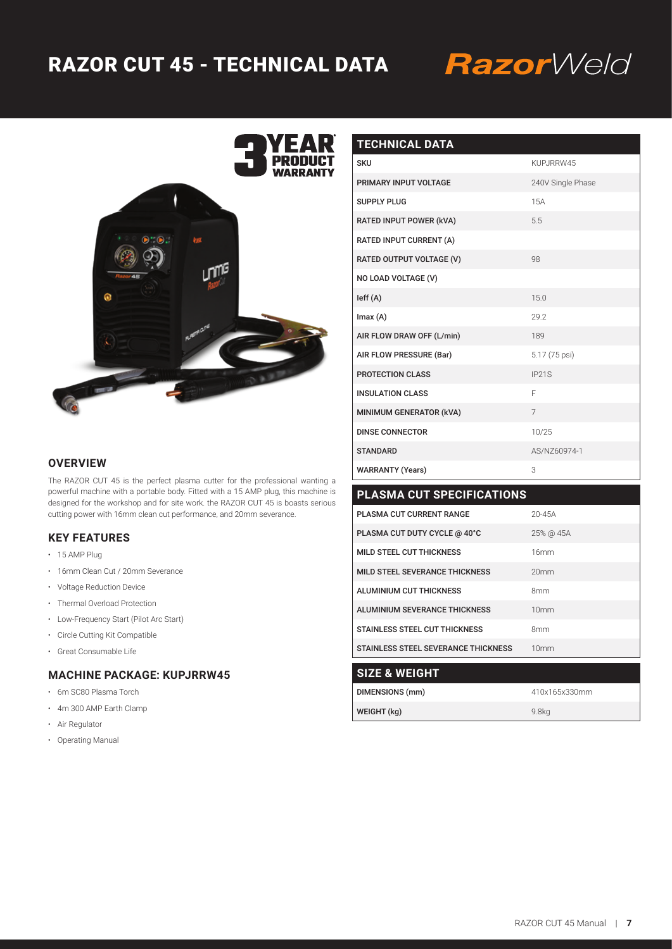# RAZOR CUT 45 - TECHNICAL DATA

# RazorWeld



| <b>TECHNICAL DATA</b>     |                   |
|---------------------------|-------------------|
| <b>SKU</b>                | KUPJRRW45         |
| PRIMARY INPUT VOLTAGE     | 240V Single Phase |
| <b>SUPPLY PLUG</b>        | 15A               |
| RATED INPUT POWER (kVA)   | 5.5               |
| RATED INPUT CURRENT (A)   |                   |
| RATED OUTPUT VOLTAGE (V)  | 98                |
| NO LOAD VOLTAGE (V)       |                   |
| left(A)                   | 15.0              |
| Imax(A)                   | 29.2              |
| AIR FLOW DRAW OFF (L/min) | 189               |
| AIR FLOW PRESSURE (Bar)   | 5.17 (75 psi)     |
| <b>PROTECTION CLASS</b>   | IP21S             |
| <b>INSULATION CLASS</b>   | F                 |
| MINIMUM GENERATOR (kVA)   | $\overline{7}$    |
| <b>DINSE CONNECTOR</b>    | 10/25             |
| <b>STANDARD</b>           | AS/NZ60974-1      |
| <b>WARRANTY (Years)</b>   | 3                 |

| <b>PLASMA CUT SPECIFICATIONS</b>           |                  |
|--------------------------------------------|------------------|
| PLASMA CUT CURRENT RANGE                   | $20 - 45A$       |
| PLASMA CUT DUTY CYCLE @ 40°C               | 25% @ 45A        |
| MILD STEEL CUT THICKNESS                   | 16mm             |
| MILD STEEL SEVERANCE THICKNESS             | 20mm             |
| <b>ALUMINIUM CUT THICKNESS</b>             | <b>8mm</b>       |
| ALUMINIUM SEVERANCE THICKNESS              | 10mm             |
| <b>STAINLESS STEEL CUT THICKNESS</b>       | <b>8mm</b>       |
| <b>STAINLESS STEEL SEVERANCE THICKNESS</b> | 10 <sub>mm</sub> |
| <b>SIZE &amp; WEIGHT</b>                   |                  |
| DIMENSIONS (mm)                            | 410x165x330mm    |
| WEIGHT (kg)                                | 9.8ka            |

### **OVERVIEW**

The RAZOR CUT 45 is the perfect plasma cutter for the professional wanting a powerful machine with a portable body. Fitted with a 15 AMP plug, this machine is designed for the workshop and for site work. the RAZOR CUT 45 is boasts serious cutting power with 16mm clean cut performance, and 20mm severance.

#### **KEY FEATURES**

- 15 AMP Plug
- 16mm Clean Cut / 20mm Severance
- Voltage Reduction Device
- Thermal Overload Protection
- Low-Frequency Start (Pilot Arc Start)
- Circle Cutting Kit Compatible
- Great Consumable Life

## **MACHINE PACKAGE: KUPJRRW45**

- 6m SC80 Plasma Torch
- 4m 300 AMP Earth Clamp
- Air Regulator
- Operating Manual